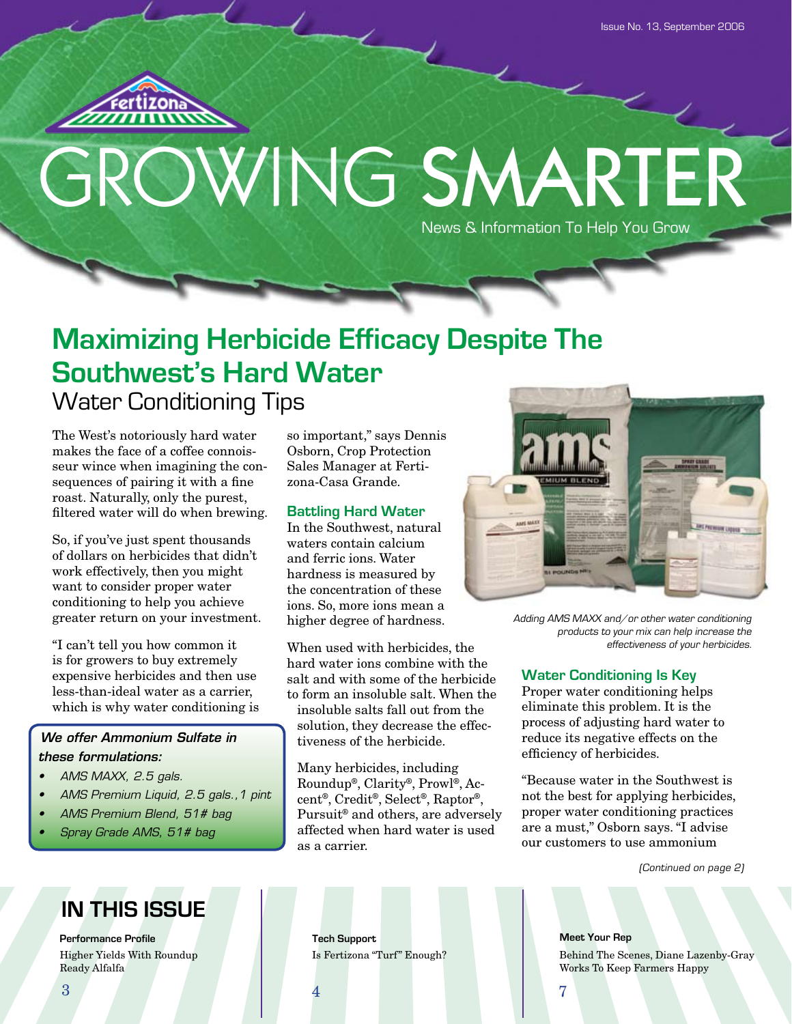

# GROWING SMARTER News & Information To Help You Grow

# **Maximizing Herbicide Efficacy Despite The Southwest's Hard Water** Water Conditioning Tips

The West's notoriously hard water makes the face of a coffee connoisseur wince when imagining the consequences of pairing it with a fine roast. Naturally, only the purest, filtered water will do when brewing.

So, if you've just spent thousands of dollars on herbicides that didn't work effectively, then you might want to consider proper water conditioning to help you achieve greater return on your investment.

"I can't tell you how common it is for growers to buy extremely expensive herbicides and then use less-than-ideal water as a carrier, which is why water conditioning is

#### *We offer Ammonium Sulfate in these formulations:*

- *• AMS MAXX, 2.5 gals.*
- *• AMS Premium Liquid, 2.5 gals.,1 pint*
- *• AMS Premium Blend, 51# bag*
- *• Spray Grade AMS, 51# bag*

# **IN THIS ISSUE**

**Performance Profile Tech Support** Higher Yields With Roundup Is Fertizona "Turf" Enough? Ready Alfalfa

so important," says Dennis Osborn, Crop Protection Sales Manager at Fertizona-Casa Grande.

#### **Battling Hard Water**

In the Southwest, natural waters contain calcium and ferric ions. Water hardness is measured by the concentration of these ions. So, more ions mean a higher degree of hardness.

When used with herbicides, the hard water ions combine with the salt and with some of the herbicide to form an insoluble salt. When the

insoluble salts fall out from the solution, they decrease the effectiveness of the herbicide.

Many herbicides, including Roundup®, Clarity®, Prowl®, Accent®, Credit®, Select®, Raptor®, Pursuit® and others, are adversely affected when hard water is used as a carrier.



Adding AMS MAXX and/or other water conditioning products to your mix can help increase the effectiveness of your herbicides.

#### **Water Conditioning Is Key**

Proper water conditioning helps eliminate this problem. It is the process of adjusting hard water to reduce its negative effects on the efficiency of herbicides.

"Because water in the Southwest is not the best for applying herbicides, proper water conditioning practices are a must," Osborn says. "I advise our customers to use ammonium

(Continued on page 2)

**Meet Your Rep** Behind The Scenes, Diane Lazenby-Gray Works To Keep Farmers Happy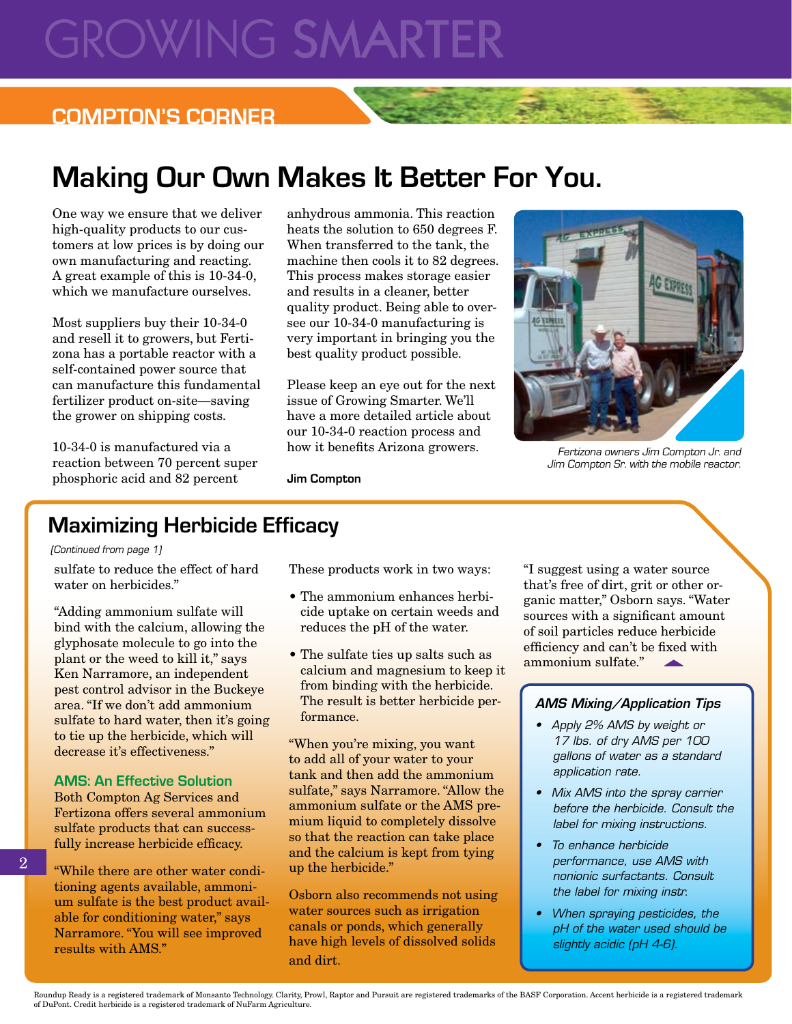# **GROWING SMARTER**

## **COMPTON'S CORNER**

# **Making Our Own Makes It Better For You.**

One way we ensure that we deliver high-quality products to our customers at low prices is by doing our own manufacturing and reacting. A great example of this is 10-34-0, which we manufacture ourselves.

Most suppliers buy their 10-34-0 and resell it to growers, but Fertizona has a portable reactor with a self-contained power source that can manufacture this fundamental fertilizer product on-site—saving the grower on shipping costs.

10-34-0 is manufactured via a reaction between 70 percent super phosphoric acid and 82 percent

anhydrous ammonia. This reaction heats the solution to 650 degrees F. When transferred to the tank, the machine then cools it to 82 degrees. This process makes storage easier and results in a cleaner, better quality product. Being able to oversee our 10-34-0 manufacturing is very important in bringing you the best quality product possible.

Please keep an eye out for the next issue of Growing Smarter. We'll have a more detailed article about our 10-34-0 reaction process and how it benefits Arizona growers.



Fertizona owners Jim Compton Jr. and Jim Compton Sr. with the mobile reactor.

**Jim Compton**

## **Maximizing Herbicide Efficacy**

#### (Continued from page 1)

sulfate to reduce the effect of hard water on herbicides."

"Adding ammonium sulfate will bind with the calcium, allowing the glyphosate molecule to go into the plant or the weed to kill it," says Ken Narramore, an independent pest control advisor in the Buckeye area. "If we don't add ammonium sulfate to hard water, then it's going to tie up the herbicide, which will decrease it's effectiveness."

#### **AMS: An Effective Solution**

Both Compton Ag Services and Fertizona offers several ammonium sulfate products that can successfully increase herbicide efficacy.

"While there are other water conditioning agents available, ammonium sulfate is the best product available for conditioning water," says Narramore. "You will see improved results with AMS."

These products work in two ways:

- The ammonium enhances herbicide uptake on certain weeds and reduces the pH of the water.
- The sulfate ties up salts such as calcium and magnesium to keep it from binding with the herbicide. The result is better herbicide performance.

"When you're mixing, you want to add all of your water to your tank and then add the ammonium sulfate," says Narramore. "Allow the ammonium sulfate or the AMS premium liquid to completely dissolve so that the reaction can take place and the calcium is kept from tying up the herbicide."

Osborn also recommends not using water sources such as irrigation canals or ponds, which generally have high levels of dissolved solids and dirt.

"I suggest using a water source that's free of dirt, grit or other organic matter," Osborn says. "Water sources with a significant amount of soil particles reduce herbicide efficiency and can't be fixed with ammonium sulfate."

#### *AMS Mixing/Application Tips*

- *• Apply 2% AMS by weight or 17 lbs. of dry AMS per 100 gallons of water as a standard application rate.*
- *• Mix AMS into the spray carrier before the herbicide. Consult the label for mixing instructions.*
- *• To enhance herbicide performance, use AMS with nonionic surfactants. Consult the label for mixing instr.*
- *• When spraying pesticides, the pH of the water used should be slightly acidic (pH 4-6).*

2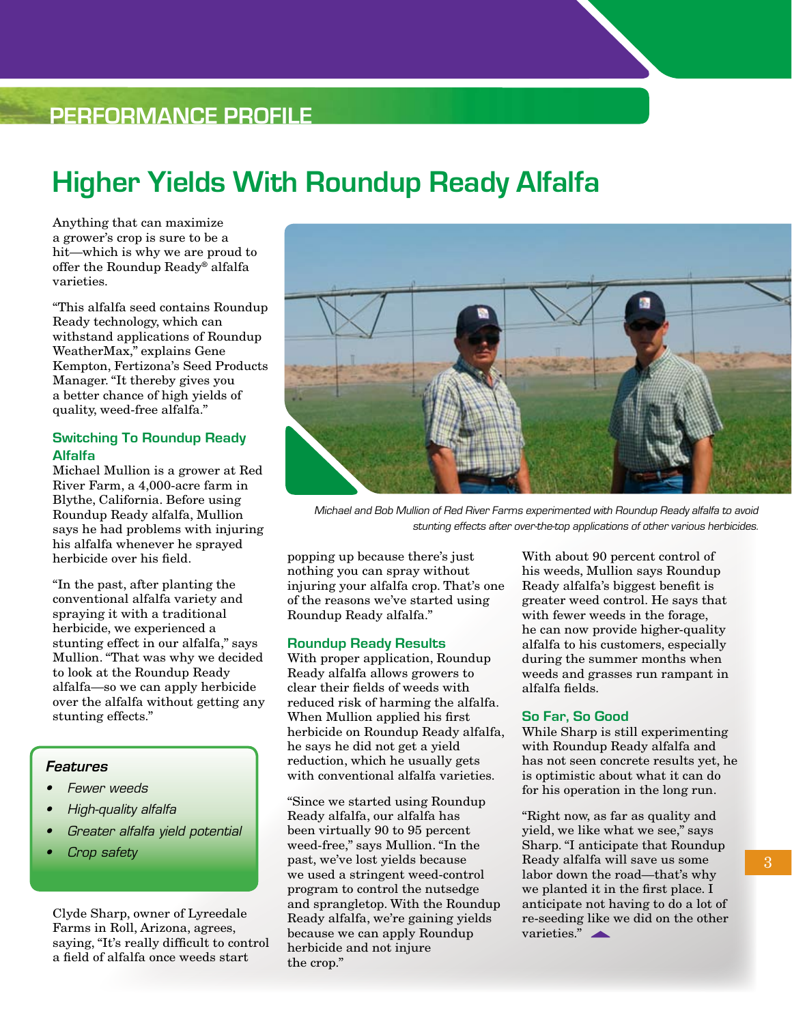## **Performance Profile**

# **Higher Yields With Roundup Ready Alfalfa**

Anything that can maximize a grower's crop is sure to be a hit—which is why we are proud to offer the Roundup Ready® alfalfa varieties.

"This alfalfa seed contains Roundup Ready technology, which can withstand applications of Roundup WeatherMax," explains Gene Kempton, Fertizona's Seed Products Manager. "It thereby gives you a better chance of high yields of quality, weed-free alfalfa."

#### **Switching To Roundup Ready Alfalfa**

Michael Mullion is a grower at Red River Farm, a 4,000-acre farm in Blythe, California. Before using Roundup Ready alfalfa, Mullion says he had problems with injuring his alfalfa whenever he sprayed herbicide over his field.

"In the past, after planting the conventional alfalfa variety and spraying it with a traditional herbicide, we experienced a stunting effect in our alfalfa," says Mullion. "That was why we decided to look at the Roundup Ready alfalfa—so we can apply herbicide over the alfalfa without getting any stunting effects."

#### *Features*

- *• Fewer weeds*
- *• High-quality alfalfa*
- *• Greater alfalfa yield potential*
- *• Crop safety*

Clyde Sharp, owner of Lyreedale Farms in Roll, Arizona, agrees, saying, "It's really difficult to control a field of alfalfa once weeds start



Michael and Bob Mullion of Red River Farms experimented with Roundup Ready alfalfa to avoid stunting effects after over-the-top applications of other various herbicides.

popping up because there's just nothing you can spray without injuring your alfalfa crop. That's one of the reasons we've started using Roundup Ready alfalfa."

#### **Roundup Ready Results**

With proper application, Roundup Ready alfalfa allows growers to clear their fields of weeds with reduced risk of harming the alfalfa. When Mullion applied his first herbicide on Roundup Ready alfalfa, he says he did not get a yield reduction, which he usually gets with conventional alfalfa varieties.

"Since we started using Roundup Ready alfalfa, our alfalfa has been virtually 90 to 95 percent weed-free," says Mullion. "In the past, we've lost yields because we used a stringent weed-control program to control the nutsedge and sprangletop. With the Roundup Ready alfalfa, we're gaining yields because we can apply Roundup herbicide and not injure the crop."

With about 90 percent control of his weeds, Mullion says Roundup Ready alfalfa's biggest benefit is greater weed control. He says that with fewer weeds in the forage, he can now provide higher-quality alfalfa to his customers, especially during the summer months when weeds and grasses run rampant in alfalfa fields.

#### **So Far, So Good**

While Sharp is still experimenting with Roundup Ready alfalfa and has not seen concrete results yet, he is optimistic about what it can do for his operation in the long run.

"Right now, as far as quality and yield, we like what we see," says Sharp. "I anticipate that Roundup Ready alfalfa will save us some labor down the road—that's why we planted it in the first place. I anticipate not having to do a lot of re-seeding like we did on the other varieties."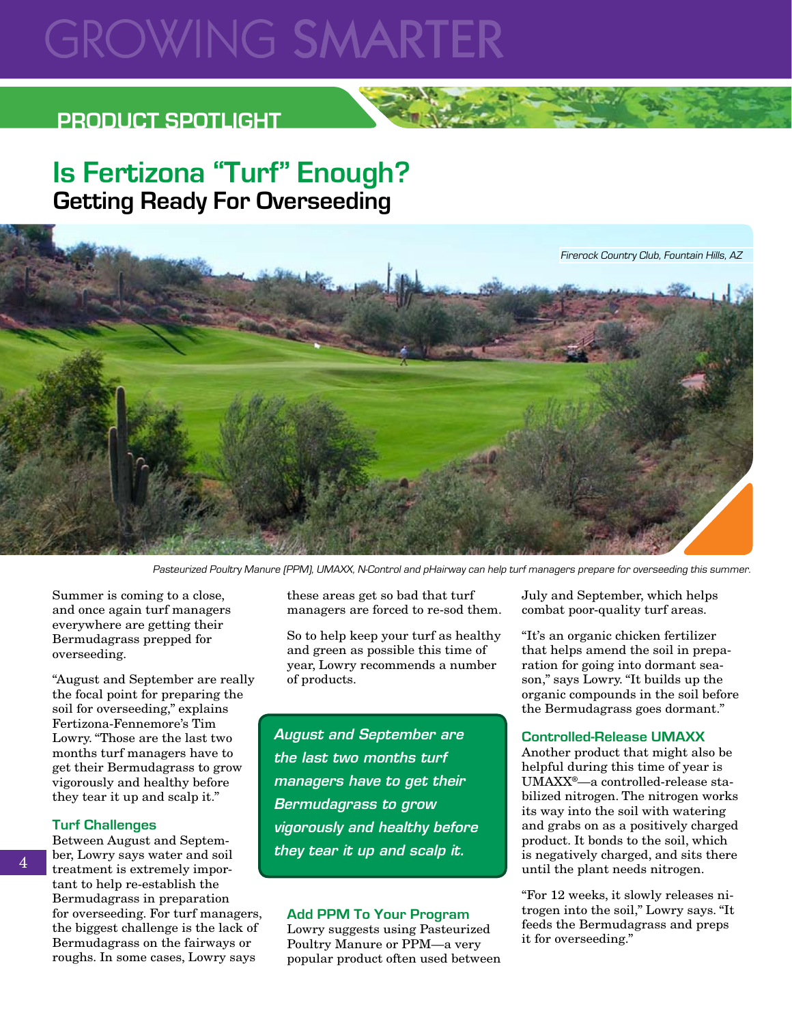# **GROWING SMARTER**

## **PRODUCT SPOTLIGHT**

## **Is Fertizona "Turf" Enough? Getting Ready For Overseeding**



Pasteurized Poultry Manure (PPM), UMAXX, N-Control and pHairway can help turf managers prepare for overseeding this summer.

Summer is coming to a close, and once again turf managers everywhere are getting their Bermudagrass prepped for overseeding.

"August and September are really the focal point for preparing the soil for overseeding," explains Fertizona-Fennemore's Tim Lowry. "Those are the last two months turf managers have to get their Bermudagrass to grow vigorously and healthy before they tear it up and scalp it."

#### **Turf Challenges**

Between August and September, Lowry says water and soil treatment is extremely important to help re-establish the Bermudagrass in preparation for overseeding. For turf managers, the biggest challenge is the lack of Bermudagrass on the fairways or roughs. In some cases, Lowry says

these areas get so bad that turf managers are forced to re-sod them.

So to help keep your turf as healthy and green as possible this time of year, Lowry recommends a number of products.

*August and September are the last two months turf managers have to get their Bermudagrass to grow vigorously and healthy before they tear it up and scalp it.*

#### **Add PPM To Your Program**

Lowry suggests using Pasteurized Poultry Manure or PPM—a very popular product often used between July and September, which helps combat poor-quality turf areas.

"It's an organic chicken fertilizer that helps amend the soil in preparation for going into dormant season," says Lowry. "It builds up the organic compounds in the soil before the Bermudagrass goes dormant."

#### **Controlled-Release UMAXX**

Another product that might also be helpful during this time of year is UMAXX®—a controlled-release stabilized nitrogen. The nitrogen works its way into the soil with watering and grabs on as a positively charged product. It bonds to the soil, which is negatively charged, and sits there until the plant needs nitrogen.

"For 12 weeks, it slowly releases nitrogen into the soil," Lowry says. "It feeds the Bermudagrass and preps it for overseeding."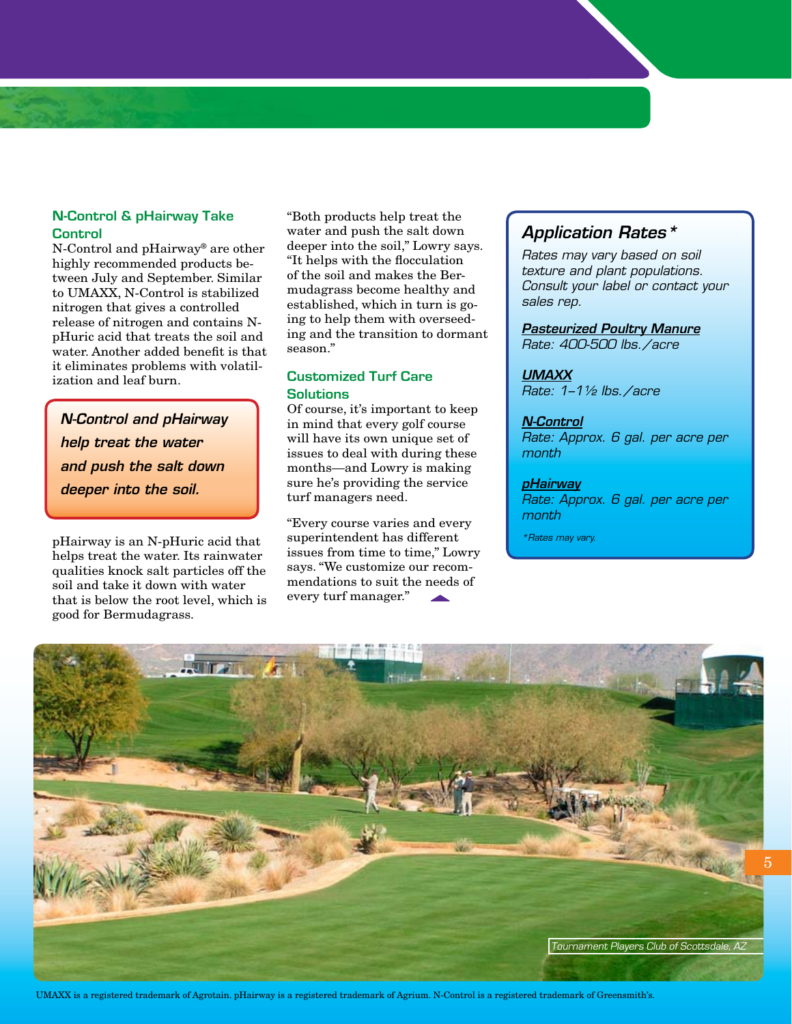#### **N-Control & pHairway Take Control**

N-Control and pHairway® are other highly recommended products between July and September. Similar to UMAXX, N-Control is stabilized nitrogen that gives a controlled release of nitrogen and contains NpHuric acid that treats the soil and water. Another added benefit is that it eliminates problems with volatilization and leaf burn.

*N-Control and pHairway help treat the water and push the salt down deeper into the soil.*

pHairway is an N-pHuric acid that helps treat the water. Its rainwater qualities knock salt particles off the soil and take it down with water that is below the root level, which is good for Bermudagrass.

"Both products help treat the water and push the salt down deeper into the soil," Lowry says. "It helps with the flocculation of the soil and makes the Bermudagrass become healthy and established, which in turn is going to help them with overseeding and the transition to dormant season."

#### **Customized Turf Care Solutions**

Of course, it's important to keep in mind that every golf course will have its own unique set of issues to deal with during these months—and Lowry is making sure he's providing the service turf managers need.

"Every course varies and every superintendent has different issues from time to time," Lowry says. "We customize our recommendations to suit the needs of every turf manager."

### *Application Rates\**

*Rates may vary based on soil texture and plant populations. Consult your label or contact your sales rep.*

*Pasteurized Poultry Manure Rate: 400-500 lbs./acre*

### *UMAXX*

*Rate: 1–1½ lbs./acre*

#### *N-Control*

*Rate: Approx. 6 gal. per acre per month*

#### *pHairway*

*Rate: Approx. 6 gal. per acre per month*

*\*Rates may vary.*



UMAXX is a registered trademark of Agrotain. pHairway is a registered trademark of Agrium. N-Control is a registered trademark of Greensmith's.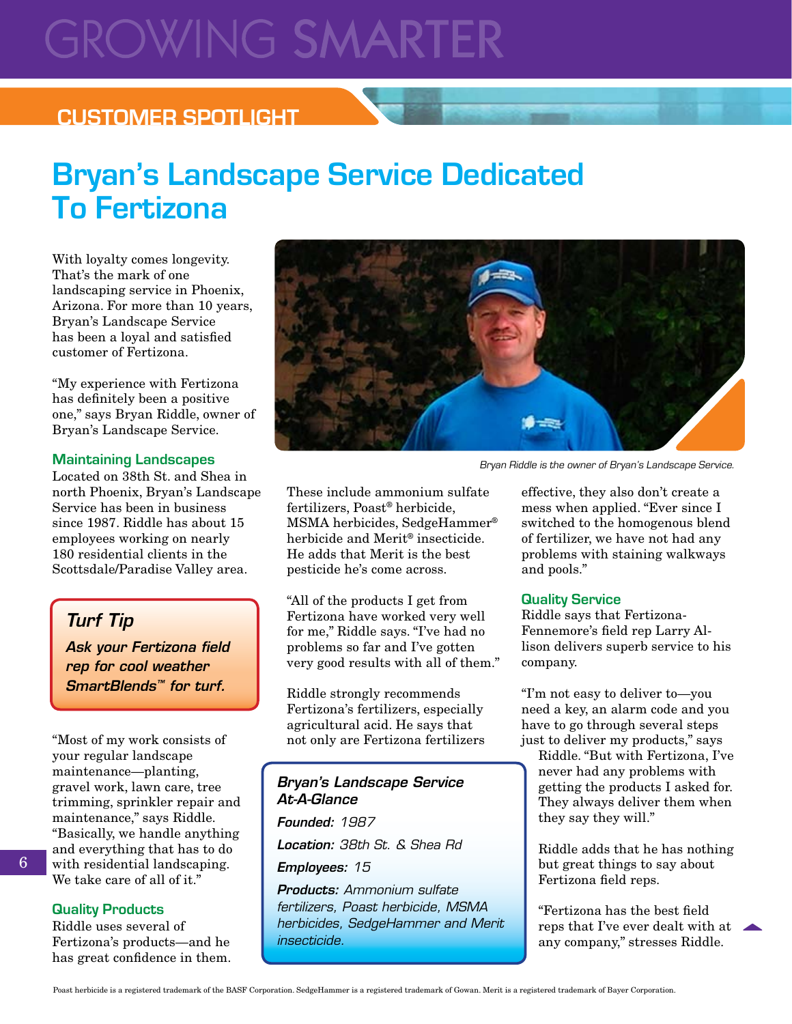# **GROWING SMARTER**

## **CUSTOMER SPOTLIGHT**

# **Bryan's Landscape Service Dedicated To Fertizona**

With loyalty comes longevity. That's the mark of one landscaping service in Phoenix, Arizona. For more than 10 years, Bryan's Landscape Service has been a loyal and satisfied customer of Fertizona.

"My experience with Fertizona has definitely been a positive one," says Bryan Riddle, owner of Bryan's Landscape Service.

#### **Maintaining Landscapes**

Located on 38th St. and Shea in north Phoenix, Bryan's Landscape Service has been in business since 1987. Riddle has about 15 employees working on nearly 180 residential clients in the Scottsdale/Paradise Valley area.

### *Turf Tip*

*Ask your Fertizona field rep for cool weather SmartBlends™ for turf.* 

"Most of my work consists of your regular landscape maintenance—planting, gravel work, lawn care, tree trimming, sprinkler repair and maintenance," says Riddle. "Basically, we handle anything and everything that has to do with residential landscaping. We take care of all of it."

#### **Quality Products**

Riddle uses several of Fertizona's products—and he has great confidence in them.



Bryan Riddle is the owner of Bryan's Landscape Service.

These include ammonium sulfate fertilizers, Poast® herbicide, MSMA herbicides, SedgeHammer® herbicide and Merit® insecticide. He adds that Merit is the best pesticide he's come across.

"All of the products I get from Fertizona have worked very well for me," Riddle says. "I've had no problems so far and I've gotten very good results with all of them."

Riddle strongly recommends Fertizona's fertilizers, especially agricultural acid. He says that not only are Fertizona fertilizers

#### *Bryan's Landscape Service At-A-Glance*

*Founded: 1987 Location: 38th St. & Shea Rd Employees: 15 Products: Ammonium sulfate*

*fertilizers, Poast herbicide, MSMA herbicides, SedgeHammer and Merit insecticide.*

effective, they also don't create a mess when applied. "Ever since I switched to the homogenous blend of fertilizer, we have not had any problems with staining walkways and pools."

#### **Quality Service**

Riddle says that Fertizona-Fennemore's field rep Larry Allison delivers superb service to his company.

"I'm not easy to deliver to—you need a key, an alarm code and you have to go through several steps just to deliver my products," says

Riddle. "But with Fertizona, I've never had any problems with getting the products I asked for. They always deliver them when they say they will."

Riddle adds that he has nothing but great things to say about Fertizona field reps.

"Fertizona has the best field reps that I've ever dealt with at any company," stresses Riddle.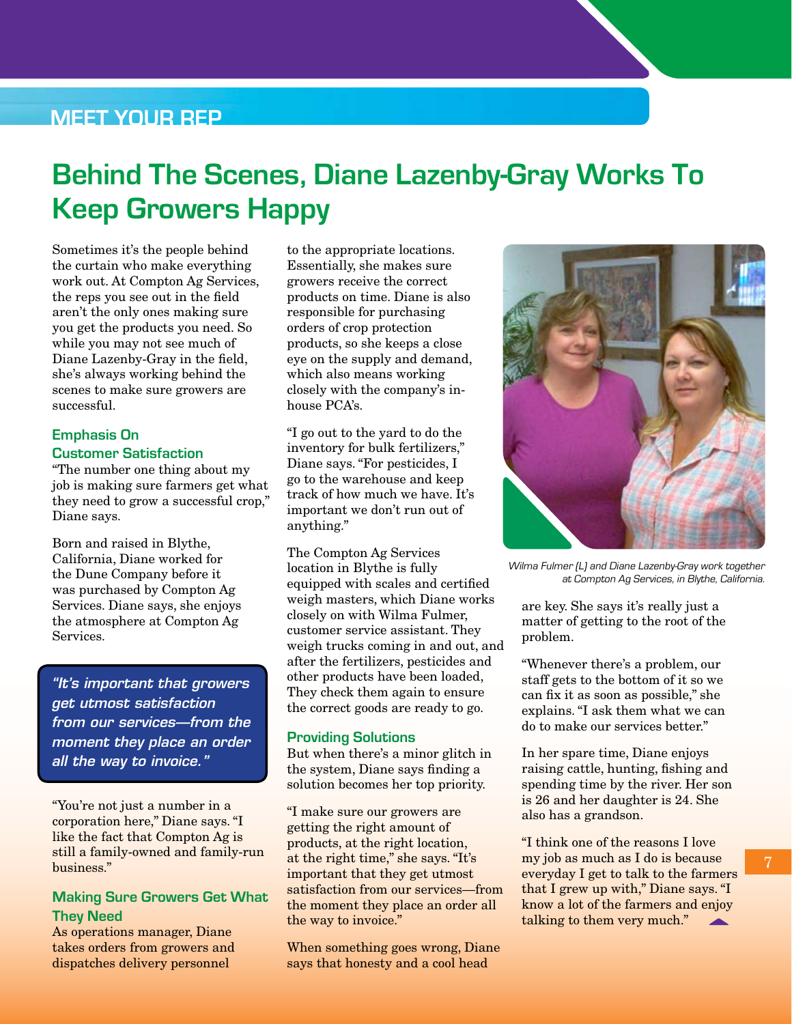### **Meet Your Rep**

# **Behind The Scenes, Diane Lazenby-Gray Works To Keep Growers Happy**

Sometimes it's the people behind the curtain who make everything work out. At Compton Ag Services, the reps you see out in the field aren't the only ones making sure you get the products you need. So while you may not see much of Diane Lazenby-Gray in the field, she's always working behind the scenes to make sure growers are successful.

#### **Emphasis On Customer Satisfaction**

"The number one thing about my job is making sure farmers get what they need to grow a successful crop," Diane says.

Born and raised in Blythe, California, Diane worked for the Dune Company before it was purchased by Compton Ag Services. Diane says, she enjoys the atmosphere at Compton Ag Services.

*"It's important that growers get utmost satisfaction from our services—from the moment they place an order all the way to invoice."*

"You're not just a number in a corporation here," Diane says. "I like the fact that Compton Ag is still a family-owned and family-run business."

#### **Making Sure Growers Get What They Need**

As operations manager, Diane takes orders from growers and dispatches delivery personnel

to the appropriate locations. Essentially, she makes sure growers receive the correct products on time. Diane is also responsible for purchasing orders of crop protection products, so she keeps a close eye on the supply and demand, which also means working closely with the company's inhouse PCA's.

"I go out to the yard to do the inventory for bulk fertilizers," Diane says. "For pesticides, I go to the warehouse and keep track of how much we have. It's important we don't run out of anything."

The Compton Ag Services location in Blythe is fully equipped with scales and certified weigh masters, which Diane works closely on with Wilma Fulmer, customer service assistant. They weigh trucks coming in and out, and after the fertilizers, pesticides and other products have been loaded, They check them again to ensure the correct goods are ready to go.

#### **Providing Solutions**

But when there's a minor glitch in the system, Diane says finding a solution becomes her top priority.

"I make sure our growers are getting the right amount of products, at the right location, at the right time," she says. "It's important that they get utmost satisfaction from our services—from the moment they place an order all the way to invoice."

When something goes wrong, Diane says that honesty and a cool head



Wilma Fulmer (L) and Diane Lazenby-Gray work together at Compton Ag Services, in Blythe, California.

are key. She says it's really just a matter of getting to the root of the problem.

"Whenever there's a problem, our staff gets to the bottom of it so we can fix it as soon as possible," she explains. "I ask them what we can do to make our services better."

In her spare time, Diane enjoys raising cattle, hunting, fishing and spending time by the river. Her son is 26 and her daughter is 24. She also has a grandson.

"I think one of the reasons I love my job as much as I do is because everyday I get to talk to the farmers that I grew up with," Diane says. "I know a lot of the farmers and enjoy talking to them very much."